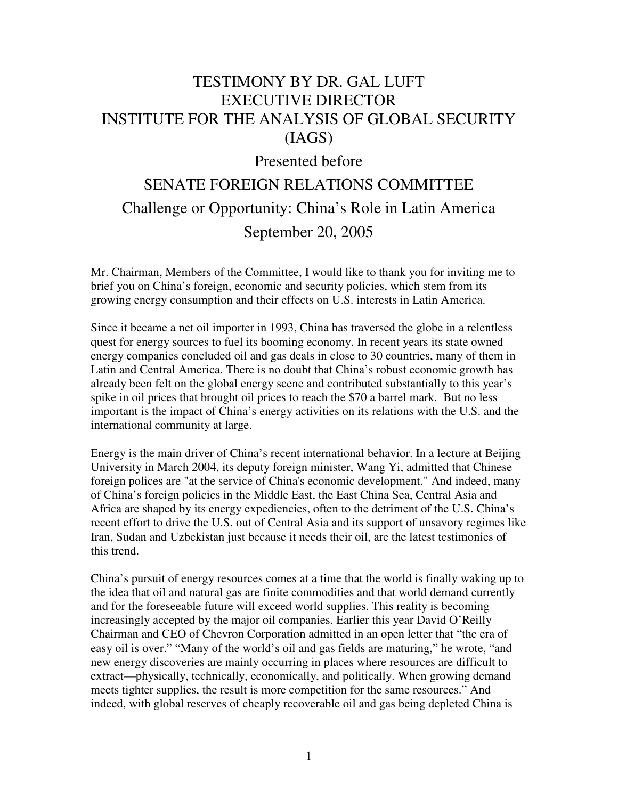# TESTIMONY BY DR. GAL LUFT EXECUTIVE DIRECTOR INSTITUTE FOR THE ANALYSIS OF GLOBAL SECURITY (IAGS)

# Presented before

# SENATE FOREIGN RELATIONS COMMITTEE Challenge or Opportunity: China's Role in Latin America September 20, 2005

Mr. Chairman, Members of the Committee, I would like to thank you for inviting me to brief you on China's foreign, economic and security policies, which stem from its growing energy consumption and their effects on U.S. interests in Latin America.

Since it became a net oil importer in 1993, China has traversed the globe in a relentless quest for energy sources to fuel its booming economy. In recent years its state owned energy companies concluded oil and gas deals in close to 30 countries, many of them in Latin and Central America. There is no doubt that China's robust economic growth has already been felt on the global energy scene and contributed substantially to this year's spike in oil prices that brought oil prices to reach the \$70 a barrel mark. But no less important is the impact of China's energy activities on its relations with the U.S. and the international community at large.

Energy is the main driver of China's recent international behavior. In a lecture at Beijing University in March 2004, its deputy foreign minister, Wang Yi, admitted that Chinese foreign polices are "at the service of China's economic development." And indeed, many of China's foreign policies in the Middle East, the East China Sea, Central Asia and Africa are shaped by its energy expediencies, often to the detriment of the U.S. China's recent effort to drive the U.S. out of Central Asia and its support of unsavory regimes like Iran, Sudan and Uzbekistan just because it needs their oil, are the latest testimonies of this trend.

China's pursuit of energy resources comes at a time that the world is finally waking up to the idea that oil and natural gas are finite commodities and that world demand currently and for the foreseeable future will exceed world supplies. This reality is becoming increasingly accepted by the major oil companies. Earlier this year David O'Reilly Chairman and CEO of Chevron Corporation admitted in an open letter that "the era of easy oil is over." "Many of the world's oil and gas fields are maturing," he wrote, "and new energy discoveries are mainly occurring in places where resources are difficult to extract—physically, technically, economically, and politically. When growing demand meets tighter supplies, the result is more competition for the same resources." And indeed, with global reserves of cheaply recoverable oil and gas being depleted China is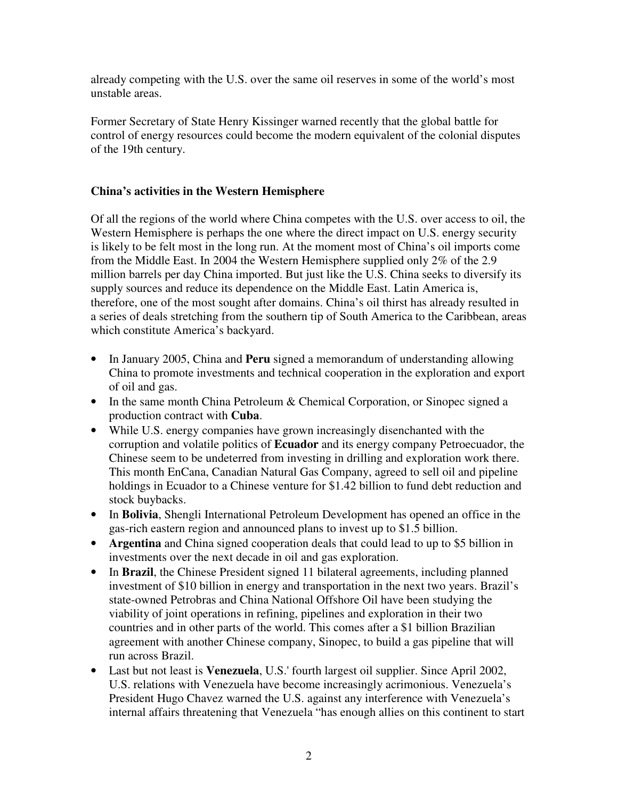already competing with the U.S. over the same oil reserves in some of the world's most unstable areas.

Former Secretary of State Henry Kissinger warned recently that the global battle for control of energy resources could become the modern equivalent of the colonial disputes of the 19th century.

## **China's activities in the Western Hemisphere**

Of all the regions of the world where China competes with the U.S. over access to oil, the Western Hemisphere is perhaps the one where the direct impact on U.S. energy security is likely to be felt most in the long run. At the moment most of China's oil imports come from the Middle East. In 2004 the Western Hemisphere supplied only 2% of the 2.9 million barrels per day China imported. But just like the U.S. China seeks to diversify its supply sources and reduce its dependence on the Middle East. Latin America is, therefore, one of the most sought after domains. China's oil thirst has already resulted in a series of deals stretching from the southern tip of South America to the Caribbean, areas which constitute America's backyard.

- In January 2005, China and **Peru** signed a memorandum of understanding allowing China to promote investments and technical cooperation in the exploration and export of oil and gas.
- In the same month China Petroleum & Chemical Corporation, or Sinopec signed a production contract with **Cuba**.
- While U.S. energy companies have grown increasingly disenchanted with the corruption and volatile politics of **Ecuador** and its energy company Petroecuador, the Chinese seem to be undeterred from investing in drilling and exploration work there. This month EnCana, Canadian Natural Gas Company, agreed to sell oil and pipeline holdings in Ecuador to a Chinese venture for \$1.42 billion to fund debt reduction and stock buybacks.
- In **Bolivia**, Shengli International Petroleum Development has opened an office in the gas-rich eastern region and announced plans to invest up to \$1.5 billion.
- **Argentina** and China signed cooperation deals that could lead to up to \$5 billion in investments over the next decade in oil and gas exploration.
- In **Brazil**, the Chinese President signed 11 bilateral agreements, including planned investment of \$10 billion in energy and transportation in the next two years. Brazil's state-owned Petrobras and China National Offshore Oil have been studying the viability of joint operations in refining, pipelines and exploration in their two countries and in other parts of the world. This comes after a \$1 billion Brazilian agreement with another Chinese company, Sinopec, to build a gas pipeline that will run across Brazil.
- Last but not least is **Venezuela**, U.S.'fourth largest oil supplier. Since April 2002, U.S. relations with Venezuela have become increasingly acrimonious. Venezuela's President Hugo Chavez warned the U.S. against any interference with Venezuela's internal affairs threatening that Venezuela "has enough allies on this continent to start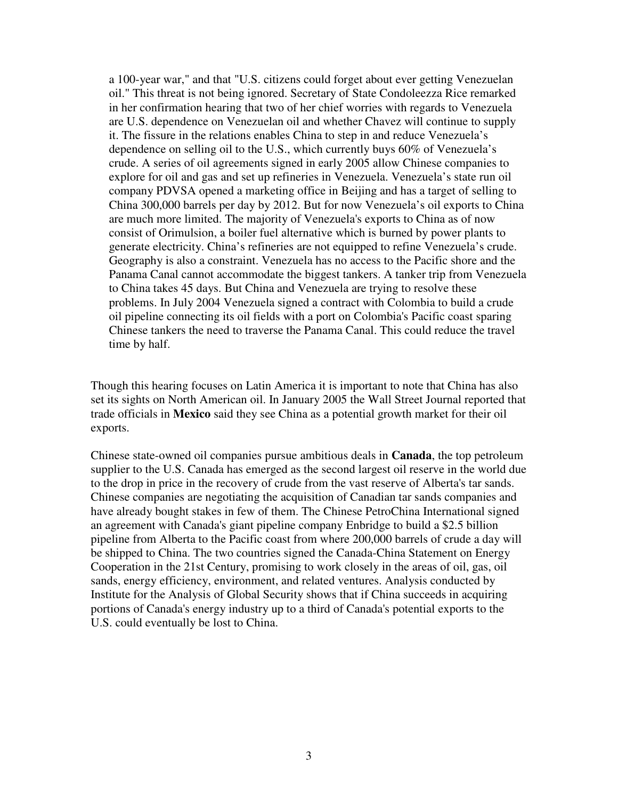a 100-year war," and that "U.S. citizens could forget about ever getting Venezuelan oil." This threat is not being ignored. Secretary of State Condoleezza Rice remarked in her confirmation hearing that two of her chief worries with regards to Venezuela are U.S. dependence on Venezuelan oil and whether Chavez will continue to supply it. The fissure in the relations enables China to step in and reduce Venezuela's dependence on selling oil to the U.S., which currently buys 60% of Venezuela's crude. A series of oil agreements signed in early 2005 allow Chinese companies to explore for oil and gas and set up refineries in Venezuela. Venezuela's state run oil company PDVSA opened a marketing office in Beijing and has a target of selling to China 300,000 barrels per day by 2012. But for now Venezuela's oil exports to China are much more limited. The majority of Venezuela's exports to China as of now consist of Orimulsion, a boiler fuel alternative which is burned by power plants to generate electricity. China's refineries are not equipped to refine Venezuela's crude. Geography is also a constraint. Venezuela has no access to the Pacific shore and the Panama Canal cannot accommodate the biggest tankers. A tanker trip from Venezuela to China takes 45 days. But China and Venezuela are trying to resolve these problems. In July 2004 Venezuela signed a contract with Colombia to build a crude oil pipeline connecting its oil fields with a port on Colombia's Pacific coast sparing Chinese tankers the need to traverse the Panama Canal. This could reduce the travel time by half.

Though this hearing focuses on Latin America it is important to note that China has also set its sights on North American oil. In January 2005 the Wall Street Journal reported that trade officials in **Mexico** said they see China as a potential growth market for their oil exports.

Chinese state-owned oil companies pursue ambitious deals in **Canada**, the top petroleum supplier to the U.S. Canada has emerged as the second largest oil reserve in the world due to the drop in price in the recovery of crude from the vast reserve of Alberta's tar sands. Chinese companies are negotiating the acquisition of Canadian tar sands companies and have already bought stakes in few of them. The Chinese PetroChina International signed an agreement with Canada's giant pipeline company Enbridge to build a \$2.5 billion pipeline from Alberta to the Pacific coast from where 200,000 barrels of crude a day will be shipped to China. The two countries signed the Canada-China Statement on Energy Cooperation in the 21st Century, promising to work closely in the areas of oil, gas, oil sands, energy efficiency, environment, and related ventures. Analysis conducted by Institute for the Analysis of Global Security shows that if China succeeds in acquiring portions of Canada's energy industry up to a third of Canada's potential exports to the U.S. could eventually be lost to China.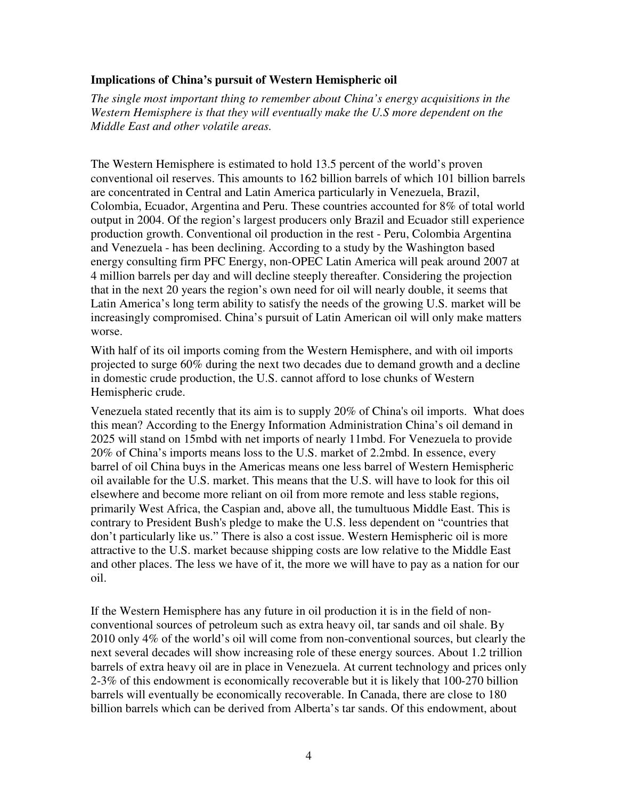#### **Implications of China's pursuit of Western Hemispheric oil**

*The single most important thing to remember about China's energy acquisitions in the Western Hemisphere is that they will eventually make the U.S more dependent on the Middle East and other volatile areas.*

The Western Hemisphere is estimated to hold 13.5 percent of the world's proven conventional oil reserves. This amounts to 162 billion barrels of which 101 billion barrels are concentrated in Central and Latin America particularly in Venezuela, Brazil, Colombia, Ecuador, Argentina and Peru. These countries accounted for 8% of total world output in 2004. Of the region's largest producers only Brazil and Ecuador still experience production growth. Conventional oil production in the rest - Peru, Colombia Argentina and Venezuela - has been declining. According to a study by the Washington based energy consulting firm PFC Energy, non-OPEC Latin America will peak around 2007 at 4 million barrels per day and will decline steeply thereafter. Considering the projection that in the next 20 years the region's own need for oil will nearly double, it seems that Latin America's long term ability to satisfy the needs of the growing U.S. market will be increasingly compromised. China's pursuit of Latin American oil will only make matters worse.

With half of its oil imports coming from the Western Hemisphere, and with oil imports projected to surge 60% during the next two decades due to demand growth and a decline in domestic crude production, the U.S. cannot afford to lose chunks of Western Hemispheric crude.

Venezuela stated recently that its aim is to supply 20% of China's oil imports. What does this mean? According to the Energy Information Administration China's oil demand in 2025 will stand on 15mbd with net imports of nearly 11mbd. For Venezuela to provide 20% of China's imports means loss to the U.S. market of 2.2mbd. In essence, every barrel of oil China buys in the Americas means one less barrel of Western Hemispheric oil available for the U.S. market. This means that the U.S. will have to look for this oil elsewhere and become more reliant on oil from more remote and less stable regions, primarily West Africa, the Caspian and, above all, the tumultuous Middle East. This is contrary to President Bush's pledge to make the U.S. less dependent on "countries that don't particularly like us." There is also a cost issue. Western Hemispheric oil is more attractive to the U.S. market because shipping costs are low relative to the Middle East and other places. The less we have of it, the more we will have to pay as a nation for our oil.

If the Western Hemisphere has any future in oil production it is in the field of nonconventional sources of petroleum such as extra heavy oil, tar sands and oil shale. By 2010 only 4% of the world's oil will come from non-conventional sources, but clearly the next several decades will show increasing role of these energy sources. About 1.2 trillion barrels of extra heavy oil are in place in Venezuela. At current technology and prices only 2-3% of this endowment is economically recoverable but it is likely that 100-270 billion barrels will eventually be economically recoverable. In Canada, there are close to 180 billion barrels which can be derived from Alberta's tar sands. Of this endowment, about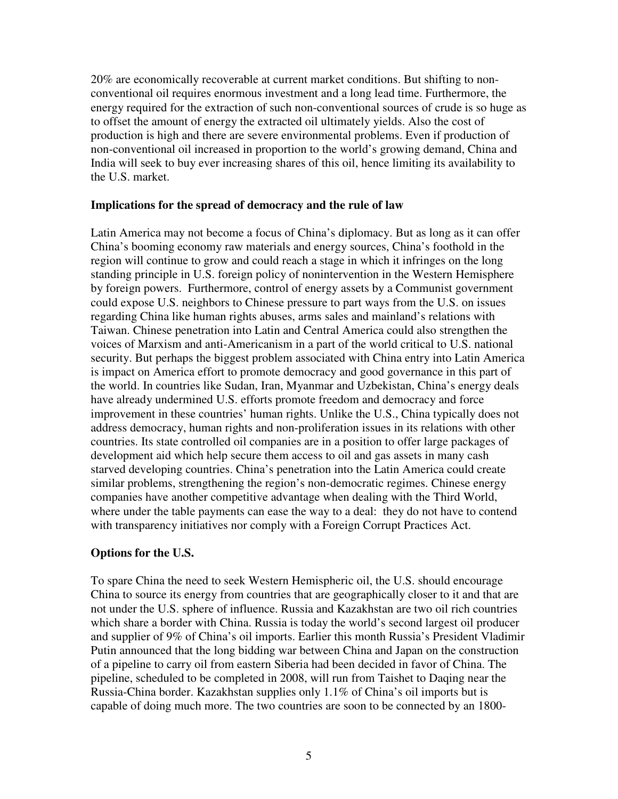20% are economically recoverable at current market conditions. But shifting to nonconventional oil requires enormous investment and a long lead time. Furthermore, the energy required for the extraction of such non-conventional sources of crude is so huge as to offset the amount of energy the extracted oil ultimately yields. Also the cost of production is high and there are severe environmental problems. Even if production of non-conventional oil increased in proportion to the world's growing demand, China and India will seek to buy ever increasing shares of this oil, hence limiting its availability to the U.S. market.

#### **Implications for the spread of democracy and the rule of law**

Latin America may not become a focus of China's diplomacy. But as long as it can offer China's booming economy raw materials and energy sources, China's foothold in the region will continue to grow and could reach a stage in which it infringes on the long standing principle in U.S. foreign policy of nonintervention in the Western Hemisphere by foreign powers. Furthermore, control of energy assets by a Communist government could expose U.S. neighbors to Chinese pressure to part ways from the U.S. on issues regarding China like human rights abuses, arms sales and mainland's relations with Taiwan. Chinese penetration into Latin and Central America could also strengthen the voices of Marxism and anti-Americanism in a part of the world critical to U.S. national security. But perhaps the biggest problem associated with China entry into Latin America is impact on America effort to promote democracy and good governance in this part of the world. In countries like Sudan, Iran, Myanmar and Uzbekistan, China's energy deals have already undermined U.S. efforts promote freedom and democracy and force improvement in these countries' human rights. Unlike the U.S., China typically does not address democracy, human rights and non-proliferation issues in its relations with other countries. Its state controlled oil companies are in a position to offer large packages of development aid which help secure them access to oil and gas assets in many cash starved developing countries. China's penetration into the Latin America could create similar problems, strengthening the region's non-democratic regimes. Chinese energy companies have another competitive advantage when dealing with the Third World, where under the table payments can ease the way to a deal: they do not have to contend with transparency initiatives nor comply with a Foreign Corrupt Practices Act.

## **Options for the U.S.**

To spare China the need to seek Western Hemispheric oil, the U.S. should encourage China to source its energy from countries that are geographically closer to it and that are not under the U.S. sphere of influence. Russia and Kazakhstan are two oil rich countries which share a border with China. Russia is today the world's second largest oil producer and supplier of 9% of China's oil imports. Earlier this month Russia's President Vladimir Putin announced that the long bidding war between China and Japan on the construction of a pipeline to carry oil from eastern Siberia had been decided in favor of China. The pipeline, scheduled to be completed in 2008, will run from Taishet to Daqing near the Russia-China border. Kazakhstan supplies only 1.1% of China's oil imports but is capable of doing much more. The two countries are soon to be connected by an 1800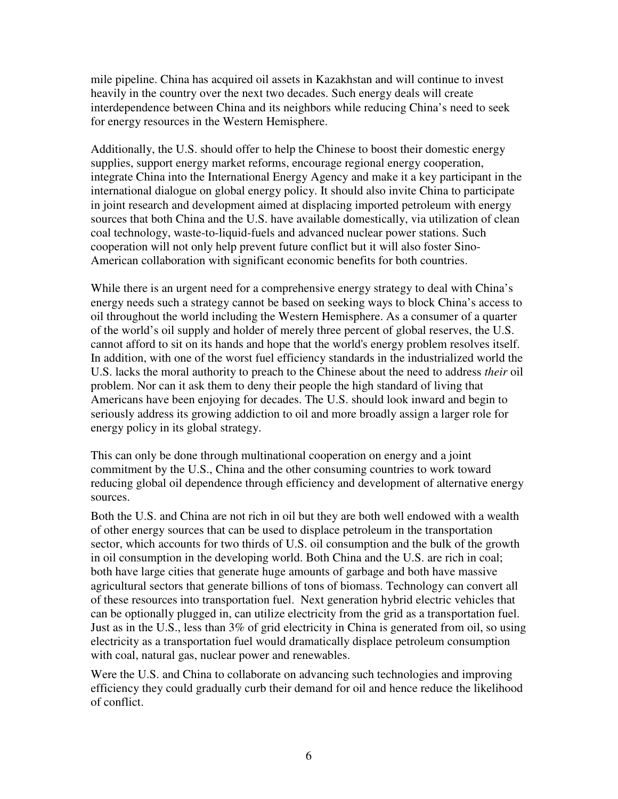mile pipeline. China has acquired oil assets in Kazakhstan and will continue to invest heavily in the country over the next two decades. Such energy deals will create interdependence between China and its neighbors while reducing China's need to seek for energy resources in the Western Hemisphere.

Additionally, the U.S. should offer to help the Chinese to boost their domestic energy supplies, support energy market reforms, encourage regional energy cooperation, integrate China into the International Energy Agency and make it a key participant in the international dialogue on global energy policy. It should also invite China to participate in joint research and development aimed at displacing imported petroleum with energy sources that both China and the U.S. have available domestically, via utilization of clean coal technology, waste-to-liquid-fuels and advanced nuclear power stations. Such cooperation will not only help prevent future conflict but it will also foster Sino-American collaboration with significant economic benefits for both countries.

While there is an urgent need for a comprehensive energy strategy to deal with China's energy needs such a strategy cannot be based on seeking ways to block China's access to oil throughout the world including the Western Hemisphere. As a consumer of a quarter of the world's oil supply and holder of merely three percent of global reserves, the U.S. cannot afford to sit on its hands and hope that the world's energy problem resolves itself. In addition, with one of the worst fuel efficiency standards in the industrialized world the U.S. lacks the moral authority to preach to the Chinese about the need to address *their* oil problem. Nor can it ask them to deny their people the high standard of living that Americans have been enjoying for decades. The U.S. should look inward and begin to seriously address its growing addiction to oil and more broadly assign a larger role for energy policy in its global strategy.

This can only be done through multinational cooperation on energy and a joint commitment by the U.S., China and the other consuming countries to work toward reducing global oil dependence through efficiency and development of alternative energy sources.

Both the U.S. and China are not rich in oil but they are both well endowed with a wealth of other energy sources that can be used to displace petroleum in the transportation sector, which accounts for two thirds of U.S. oil consumption and the bulk of the growth in oil consumption in the developing world. Both China and the U.S. are rich in coal; both have large cities that generate huge amounts of garbage and both have massive agricultural sectors that generate billions of tons of biomass. Technology can convert all of these resources into transportation fuel. Next generation hybrid electric vehicles that can be optionally plugged in, can utilize electricity from the grid as a transportation fuel. Just as in the U.S., less than 3% of grid electricity in China is generated from oil, so using electricity as a transportation fuel would dramatically displace petroleum consumption with coal, natural gas, nuclear power and renewables.

Were the U.S. and China to collaborate on advancing such technologies and improving efficiency they could gradually curb their demand for oil and hence reduce the likelihood of conflict.